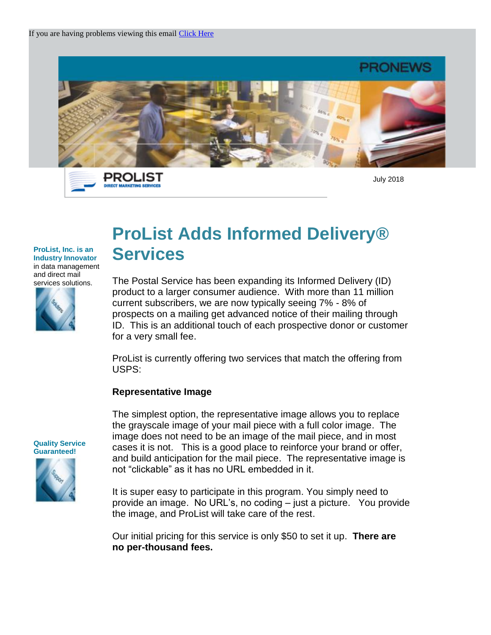

PROLIST **DIRECT MARKETING SER** 

July 2018

## **ProList Adds Informed Delivery® Services**

The Postal Service has been expanding its Informed Delivery (ID) product to a larger consumer audience. With more than 11 million current subscribers, we are now typically seeing 7% - 8% of prospects on a mailing get advanced notice of their mailing through ID. This is an additional touch of each prospective donor or customer for a very small fee.

ProList is currently offering two services that match the offering from USPS:

## **Representative Image**

The simplest option, the representative image allows you to replace the grayscale image of your mail piece with a full color image. The image does not need to be an image of the mail piece, and in most cases it is not. This is a good place to reinforce your brand or offer, and build anticipation for the mail piece. The representative image is not "clickable" as it has no URL embedded in it.

It is super easy to participate in this program. You simply need to provide an image. No URL's, no coding – just a picture. You provide the image, and ProList will take care of the rest.

Our initial pricing for this service is only \$50 to set it up. **There are no per-thousand fees.**

**Quality Service Guaranteed!** 

**ProList, Inc. is an Industry Innovator** in data management and direct mail services solutions.

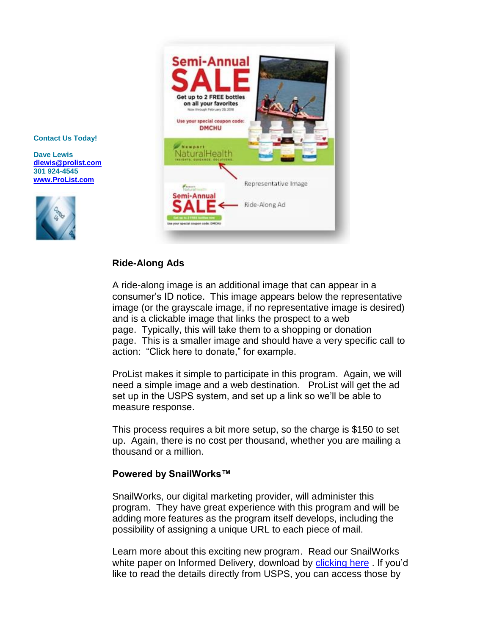

#### **Contact Us Today!**

**Dave Lewis [dlewis@prolist.com](mailto:dlewis@prolist.com) 301 924-4545 [www.ProList.com](http://trk.publicaster.com/click/c2f1-ujoiw-gvrhvt-73hxzcz6/)**



### **Ride-Along Ads**

A ride-along image is an additional image that can appear in a consumer's ID notice. This image appears below the representative image (or the grayscale image, if no representative image is desired) and is a clickable image that links the prospect to a web page. Typically, this will take them to a shopping or donation page. This is a smaller image and should have a very specific call to action: "Click here to donate," for example.

ProList makes it simple to participate in this program. Again, we will need a simple image and a web destination. ProList will get the ad set up in the USPS system, and set up a link so we'll be able to measure response.

This process requires a bit more setup, so the charge is \$150 to set up. Again, there is no cost per thousand, whether you are mailing a thousand or a million.

#### **Powered by SnailWorks™**

SnailWorks, our digital marketing provider, will administer this program. They have great experience with this program and will be adding more features as the program itself develops, including the possibility of assigning a unique URL to each piece of mail.

Learn more about this exciting new program. Read our SnailWorks white paper on Informed Delivery, download by [clicking here](http://trk.publicaster.com/click/c2f1-rfbfw-fpbp0q-73hxzcz5/) . If you'd like to read the details directly from USPS, you can access those by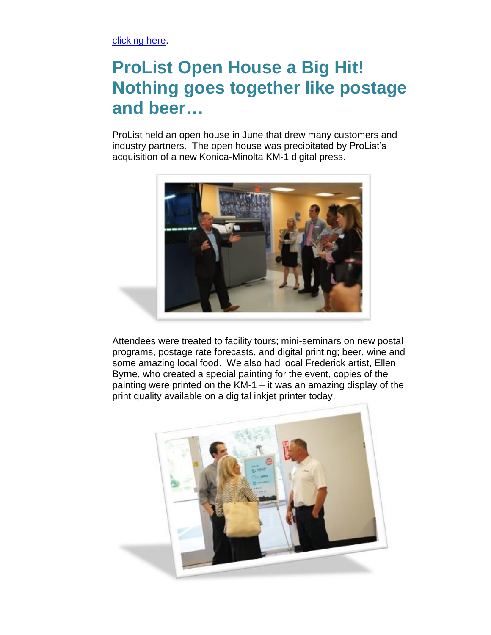[clicking here.](http://trk.publicaster.com/click/c2f1-rfbfw-fpbp0r-73hxzcz6/)

# **ProList Open House a Big Hit! Nothing goes together like postage and beer…**

ProList held an open house in June that drew many customers and industry partners. The open house was precipitated by ProList's acquisition of a new Konica-Minolta KM-1 digital press.



Attendees were treated to facility tours; mini-seminars on new postal programs, postage rate forecasts, and digital printing; beer, wine and some amazing local food. We also had local Frederick artist, Ellen Byrne, who created a special painting for the event, copies of the painting were printed on the KM-1 – it was an amazing display of the print quality available on a digital inkjet printer today.